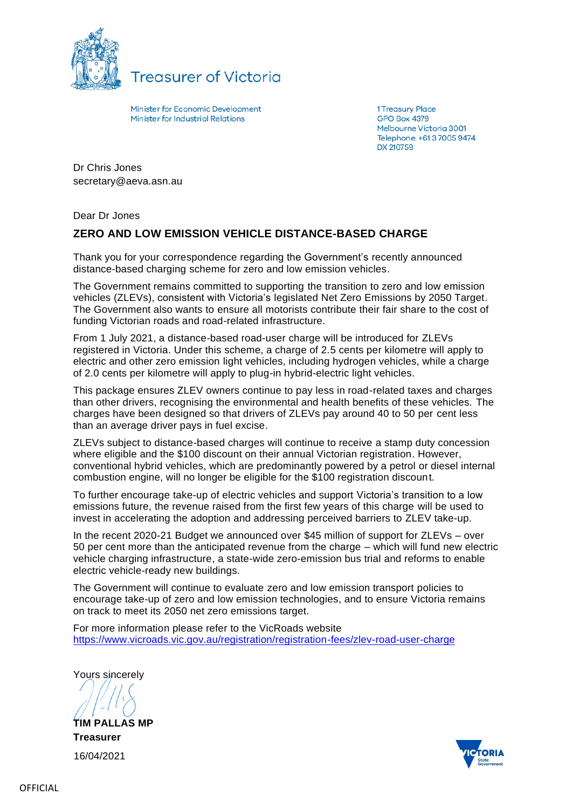

Treasurer of Victoria

Minister for Economic Development **Minister for Industrial Relations** 

1 Treasury Place **GPO Box 4379** Melbourne Victoria 3001 Telephone: +61 3 7005 9474 DX 210759

Dr Chris Jones secretary@aeva.asn.au

Dear Dr Jones

## **ZERO AND LOW EMISSION VEHICLE DISTANCE-BASED CHARGE**

Thank you for your correspondence regarding the Government's recently announced distance-based charging scheme for zero and low emission vehicles.

The Government remains committed to supporting the transition to zero and low emission vehicles (ZLEVs), consistent with Victoria's legislated Net Zero Emissions by 2050 Target. The Government also wants to ensure all motorists contribute their fair share to the cost of funding Victorian roads and road-related infrastructure.

From 1 July 2021, a distance-based road-user charge will be introduced for ZLEVs registered in Victoria. Under this scheme, a charge of 2.5 cents per kilometre will apply to electric and other zero emission light vehicles, including hydrogen vehicles, while a charge of 2.0 cents per kilometre will apply to plug-in hybrid-electric light vehicles.

This package ensures ZLEV owners continue to pay less in road-related taxes and charges than other drivers, recognising the environmental and health benefits of these vehicles. The charges have been designed so that drivers of ZLEVs pay around 40 to 50 per cent less than an average driver pays in fuel excise.

ZLEVs subject to distance-based charges will continue to receive a stamp duty concession where eligible and the \$100 discount on their annual Victorian registration. However, conventional hybrid vehicles, which are predominantly powered by a petrol or diesel internal combustion engine, will no longer be eligible for the \$100 registration discount.

To further encourage take-up of electric vehicles and support Victoria's transition to a low emissions future, the revenue raised from the first few years of this charge will be used to invest in accelerating the adoption and addressing perceived barriers to ZLEV take-up.

In the recent 2020-21 Budget we announced over \$45 million of support for ZLEVs – over 50 per cent more than the anticipated revenue from the charge – which will fund new electric vehicle charging infrastructure, a state-wide zero-emission bus trial and reforms to enable electric vehicle-ready new buildings.

The Government will continue to evaluate zero and low emission transport policies to encourage take-up of zero and low emission technologies, and to ensure Victoria remains on track to meet its 2050 net zero emissions target.

For more information please refer to the VicRoads website <https://www.vicroads.vic.gov.au/registration/registration-fees/zlev-road-user-charge>

Yours sincerely

16/04/2021 **TIM PALLAS MP Treasurer**